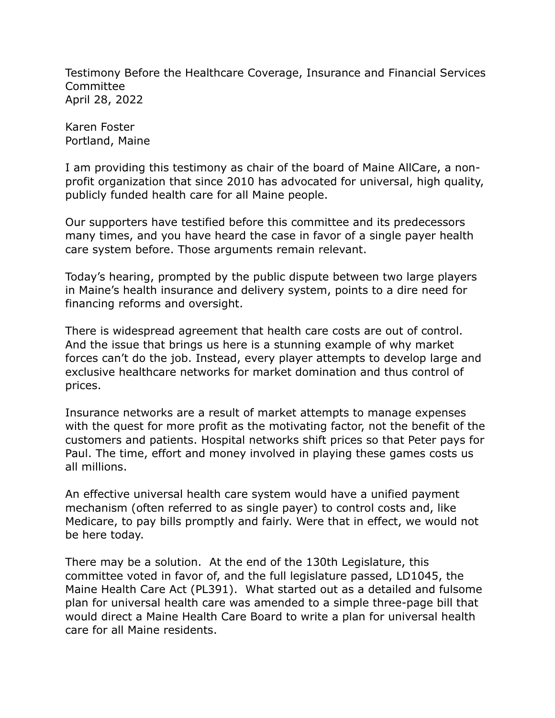Testimony Before the Healthcare Coverage, Insurance and Financial Services Committee April 28, 2022

Karen Foster Portland, Maine

I am providing this testimony as chair of the board of Maine AllCare, a nonprofit organization that since 2010 has advocated for universal, high quality, publicly funded health care for all Maine people.

Our supporters have testified before this committee and its predecessors many times, and you have heard the case in favor of a single payer health care system before. Those arguments remain relevant.

Today's hearing, prompted by the public dispute between two large players in Maine's health insurance and delivery system, points to a dire need for financing reforms and oversight.

There is widespread agreement that health care costs are out of control. And the issue that brings us here is a stunning example of why market forces can't do the job. Instead, every player attempts to develop large and exclusive healthcare networks for market domination and thus control of prices.

Insurance networks are a result of market attempts to manage expenses with the quest for more profit as the motivating factor, not the benefit of the customers and patients. Hospital networks shift prices so that Peter pays for Paul. The time, effort and money involved in playing these games costs us all millions.

An effective universal health care system would have a unified payment mechanism (often referred to as single payer) to control costs and, like Medicare, to pay bills promptly and fairly. Were that in effect, we would not be here today.

There may be a solution. At the end of the 130th Legislature, this committee voted in favor of, and the full legislature passed, LD1045, the Maine Health Care Act (PL391). What started out as a detailed and fulsome plan for universal health care was amended to a simple three-page bill that would direct a Maine Health Care Board to write a plan for universal health care for all Maine residents.